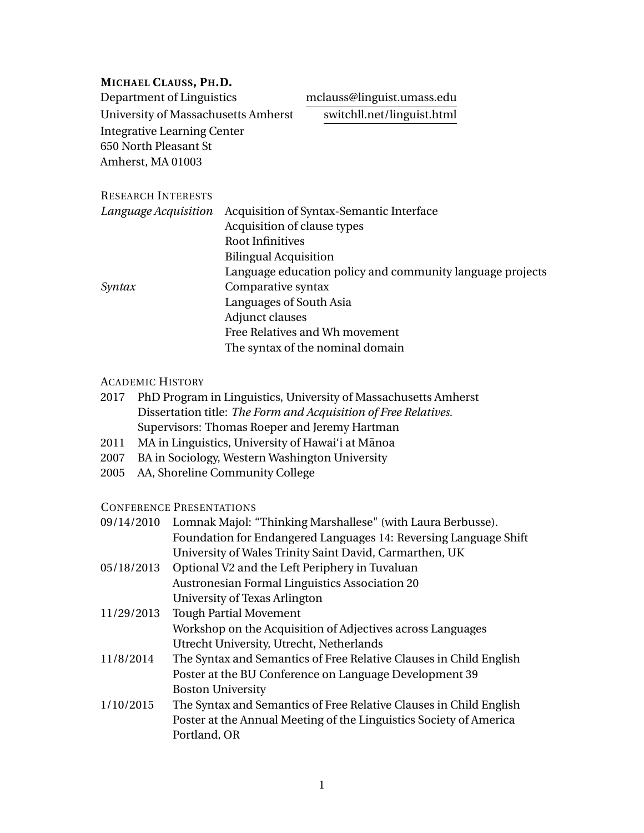### **MICHAEL CLAUSS, PH.D.**

Department of Linguistics mclauss@linguist.umass.edu University of Massachusetts Amherst switchll.net/linguist.html Integrative Learning Center 650 North Pleasant St Amherst, MA 01003

#### RESEARCH INTERESTS

| Language Acquisition | Acquisition of Syntax-Semantic Interface                  |
|----------------------|-----------------------------------------------------------|
|                      | Acquisition of clause types                               |
|                      | <b>Root Infinitives</b>                                   |
|                      | <b>Bilingual Acquisition</b>                              |
|                      | Language education policy and community language projects |
| Syntax               | Comparative syntax                                        |
|                      | Languages of South Asia                                   |
|                      | Adjunct clauses                                           |
|                      | Free Relatives and Wh movement                            |
|                      | The syntax of the nominal domain                          |

## ACADEMIC HISTORY

- 2017 PhD Program in Linguistics, University of Massachusetts Amherst Dissertation title: *The Form and Acquisition of Free Relatives.* Supervisors: Thomas Roeper and Jeremy Hartman
- 2011 MA in Linguistics, University of Hawai'i at Mānoa
- 2007 BA in Sociology, Western Washington University
- 2005 AA, Shoreline Community College

#### CONFERENCE PRESENTATIONS

| 09/14/2010 | Lomnak Majol: "Thinking Marshallese" (with Laura Berbusse).        |
|------------|--------------------------------------------------------------------|
|            | Foundation for Endangered Languages 14: Reversing Language Shift   |
|            | University of Wales Trinity Saint David, Carmarthen, UK            |
| 05/18/2013 | Optional V2 and the Left Periphery in Tuvaluan                     |
|            | <b>Austronesian Formal Linguistics Association 20</b>              |
|            | University of Texas Arlington                                      |
| 11/29/2013 | <b>Tough Partial Movement</b>                                      |
|            | Workshop on the Acquisition of Adjectives across Languages         |
|            | Utrecht University, Utrecht, Netherlands                           |
| 11/8/2014  | The Syntax and Semantics of Free Relative Clauses in Child English |
|            | Poster at the BU Conference on Language Development 39             |
|            | <b>Boston University</b>                                           |
| 1/10/2015  | The Syntax and Semantics of Free Relative Clauses in Child English |
|            | Poster at the Annual Meeting of the Linguistics Society of America |
|            | Portland, OR                                                       |